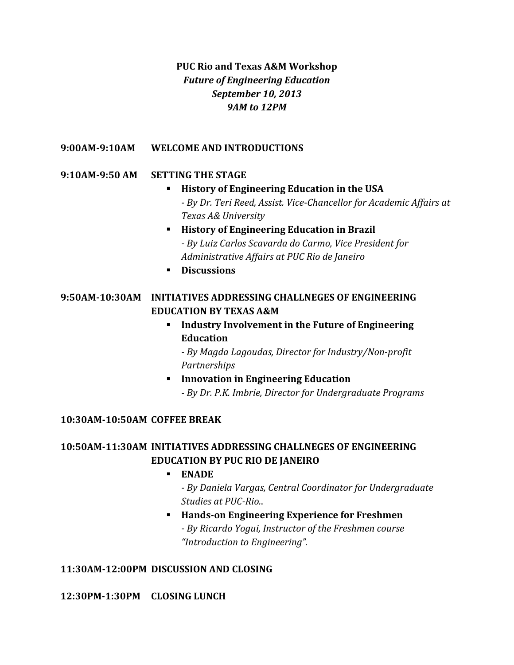# **PUC Rio and Texas A&M Workshop** *Future of Engineering Education September 10, 2013 9AM to 12PM*

### **9:00AM-9:10AM WELCOME AND INTRODUCTIONS**

### **9:10AM-9:50 AM SETTING THE STAGE**

- **History of Engineering Education in the USA** *- By Dr. Teri Reed, Assist. Vice-Chancellor for Academic Affairs at Texas A& University*
- **History of Engineering Education in Brazil** *- By Luiz Carlos Scavarda do Carmo, Vice President for Administrative Affairs at PUC Rio de Janeiro*
- **Discussions**

### **9:50AM-10:30AM INITIATIVES ADDRESSING CHALLNEGES OF ENGINEERING EDUCATION BY TEXAS A&M**

 **Industry Involvement in the Future of Engineering Education**

*- By Magda Lagoudas, Director for Industry/Non‐profit Partnerships*

 **Innovation in Engineering Education** *- By Dr. P.K. Imbrie, Director for Undergraduate Programs*

#### **10:30AM-10:50AM COFFEE BREAK**

## **10:50AM-11:30AM INITIATIVES ADDRESSING CHALLNEGES OF ENGINEERING EDUCATION BY PUC RIO DE JANEIRO**

**ENADE**

*- By Daniela Vargas, Central Coordinator for Undergraduate Studies at PUC-Rio.*.

 **Hands-on Engineering Experience for Freshmen** *- By Ricardo Yogui, Instructor of the Freshmen course "Introduction to Engineering".*

#### **11:30AM-12:00PM DISCUSSION AND CLOSING**

**12:30PM-1:30PM CLOSING LUNCH**